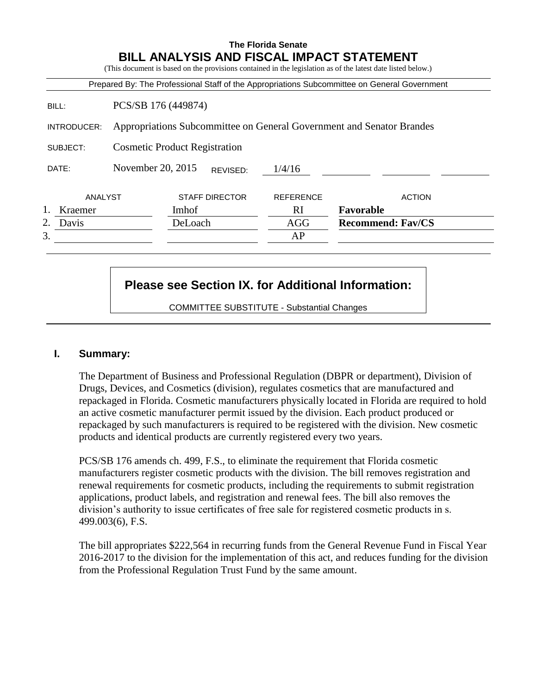### **The Florida Senate BILL ANALYSIS AND FISCAL IMPACT STATEMENT**

(This document is based on the provisions contained in the legislation as of the latest date listed below.)

|             |                                                                       |         |                       |                  | Prepared By: The Professional Staff of the Appropriations Subcommittee on General Government |
|-------------|-----------------------------------------------------------------------|---------|-----------------------|------------------|----------------------------------------------------------------------------------------------|
| BILL:       | PCS/SB 176 (449874)                                                   |         |                       |                  |                                                                                              |
| INTRODUCER: | Appropriations Subcommittee on General Government and Senator Brandes |         |                       |                  |                                                                                              |
| SUBJECT:    | <b>Cosmetic Product Registration</b>                                  |         |                       |                  |                                                                                              |
| DATE:       | November 20, 2015                                                     |         | REVISED:              | 1/4/16           |                                                                                              |
| ANALYST     |                                                                       |         | <b>STAFF DIRECTOR</b> | <b>REFERENCE</b> | <b>ACTION</b>                                                                                |
| Kraemer     |                                                                       | Imhof.  |                       | RI               | Favorable                                                                                    |
| Davis       |                                                                       | DeLoach |                       | <b>AGG</b>       | <b>Recommend: Fav/CS</b>                                                                     |
| 3.          |                                                                       |         |                       | AP               |                                                                                              |

# **Please see Section IX. for Additional Information:**

COMMITTEE SUBSTITUTE - Substantial Changes

### **I. Summary:**

The Department of Business and Professional Regulation (DBPR or department), Division of Drugs, Devices, and Cosmetics (division), regulates cosmetics that are manufactured and repackaged in Florida. Cosmetic manufacturers physically located in Florida are required to hold an active cosmetic manufacturer permit issued by the division. Each product produced or repackaged by such manufacturers is required to be registered with the division. New cosmetic products and identical products are currently registered every two years.

PCS/SB 176 amends ch. 499, F.S., to eliminate the requirement that Florida cosmetic manufacturers register cosmetic products with the division. The bill removes registration and renewal requirements for cosmetic products, including the requirements to submit registration applications, product labels, and registration and renewal fees. The bill also removes the division's authority to issue certificates of free sale for registered cosmetic products in s. 499.003(6), F.S.

The bill appropriates \$222,564 in recurring funds from the General Revenue Fund in Fiscal Year 2016-2017 to the division for the implementation of this act, and reduces funding for the division from the Professional Regulation Trust Fund by the same amount.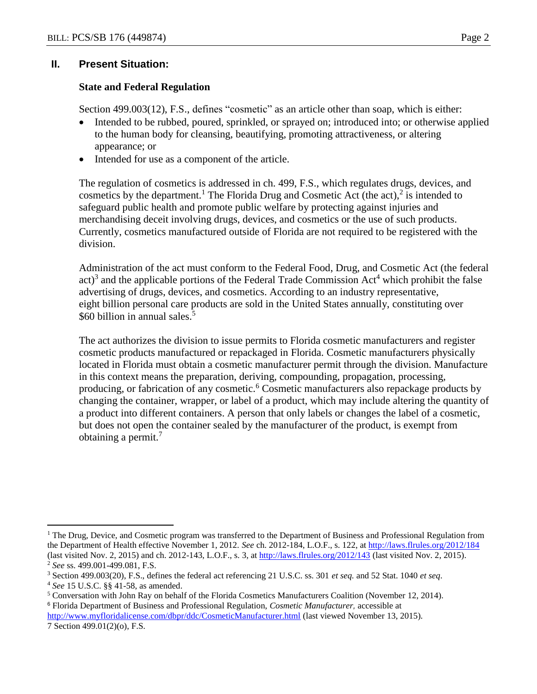### **II. Present Situation:**

### **State and Federal Regulation**

Section 499.003(12), F.S., defines "cosmetic" as an article other than soap, which is either:

- Intended to be rubbed, poured, sprinkled, or sprayed on; introduced into; or otherwise applied to the human body for cleansing, beautifying, promoting attractiveness, or altering appearance; or
- Intended for use as a component of the article.

The regulation of cosmetics is addressed in ch. 499, F.S., which regulates drugs, devices, and cosmetics by the department.<sup>1</sup> The Florida Drug and Cosmetic Act (the act),<sup>2</sup> is intended to safeguard public health and promote public welfare by protecting against injuries and merchandising deceit involving drugs, devices, and cosmetics or the use of such products. Currently, cosmetics manufactured outside of Florida are not required to be registered with the division.

Administration of the act must conform to the Federal Food, Drug, and Cosmetic Act (the federal  $act$ <sup>3</sup> and the applicable portions of the Federal Trade Commission Act<sup>4</sup> which prohibit the false advertising of drugs, devices, and cosmetics. According to an industry representative, eight billion personal care products are sold in the United States annually, constituting over \$60 billion in annual sales.<sup>5</sup>

The act authorizes the division to issue permits to Florida cosmetic manufacturers and register cosmetic products manufactured or repackaged in Florida. Cosmetic manufacturers physically located in Florida must obtain a cosmetic manufacturer permit through the division. Manufacture in this context means the preparation, deriving, compounding, propagation, processing, producing, or fabrication of any cosmetic.<sup>6</sup> Cosmetic manufacturers also repackage products by changing the container, wrapper, or label of a product, which may include altering the quantity of a product into different containers. A person that only labels or changes the label of a cosmetic, but does not open the container sealed by the manufacturer of the product, is exempt from obtaining a permit.<sup>7</sup>

 $\overline{a}$ 

 $<sup>1</sup>$  The Drug, Device, and Cosmetic program was transferred to the Department of Business and Professional Regulation from</sup> the Department of Health effective November 1, 2012. *See* ch. 2012-184, L.O.F., s. 122, at<http://laws.flrules.org/2012/184> (last visited Nov. 2, 2015) and ch. 2012-143, L.O.F., s. 3, a[t http://laws.flrules.org/2012/143](http://laws.flrules.org/2012/143) (last visited Nov. 2, 2015). <sup>2</sup> *See* ss. 499.001-499.081, F.S.

<sup>3</sup> Section 499.003(20), F.S., defines the federal act referencing 21 U.S.C. ss. 301 *et seq.* and 52 Stat. 1040 *et seq*.

<sup>4</sup> *See* 15 U.S.C. §§ 41-58, as amended.

<sup>5</sup> Conversation with John Ray on behalf of the Florida Cosmetics Manufacturers Coalition (November 12, 2014). <sup>6</sup> Florida Department of Business and Professional Regulation, *Cosmetic Manufacturer,* accessible at <http://www.myfloridalicense.com/dbpr/ddc/CosmeticManufacturer.html> (last viewed November 13, 2015).

<sup>7</sup> Section 499.01(2)(o), F.S.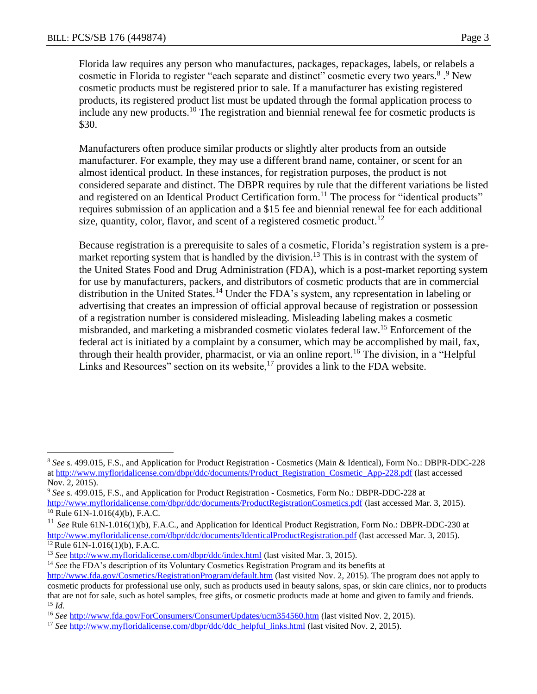Florida law requires any person who manufactures, packages, repackages, labels, or relabels a cosmetic in Florida to register "each separate and distinct" cosmetic every two years.<sup>8</sup>.<sup>9</sup> New cosmetic products must be registered prior to sale. If a manufacturer has existing registered products, its registered product list must be updated through the formal application process to include any new products.<sup>10</sup> The registration and biennial renewal fee for cosmetic products is \$30.

Manufacturers often produce similar products or slightly alter products from an outside manufacturer. For example, they may use a different brand name, container, or scent for an almost identical product. In these instances, for registration purposes, the product is not considered separate and distinct. The DBPR requires by rule that the different variations be listed and registered on an Identical Product Certification form.<sup>11</sup> The process for "identical products" requires submission of an application and a \$15 fee and biennial renewal fee for each additional size, quantity, color, flavor, and scent of a registered cosmetic product.<sup>12</sup>

Because registration is a prerequisite to sales of a cosmetic, Florida's registration system is a premarket reporting system that is handled by the division.<sup>13</sup> This is in contrast with the system of the United States Food and Drug Administration (FDA), which is a post-market reporting system for use by manufacturers, packers, and distributors of cosmetic products that are in commercial distribution in the United States.<sup>14</sup> Under the FDA's system, any representation in labeling or advertising that creates an impression of official approval because of registration or possession of a registration number is considered misleading. Misleading labeling makes a cosmetic misbranded, and marketing a misbranded cosmetic violates federal law.<sup>15</sup> Enforcement of the federal act is initiated by a complaint by a consumer, which may be accomplished by mail, fax, through their health provider, pharmacist, or via an online report.<sup>16</sup> The division, in a "Helpful Links and Resources" section on its website,<sup>17</sup> provides a link to the FDA website.

 $\overline{a}$ 

<sup>8</sup> *See* s. 499.015, F.S., and Application for Product Registration - Cosmetics (Main & Identical), Form No.: DBPR-DDC-228 a[t http://www.myfloridalicense.com/dbpr/ddc/documents/Product\\_Registration\\_Cosmetic\\_App-228.pdf](http://www.myfloridalicense.com/dbpr/ddc/documents/Product_Registration_Cosmetic_App-228.pdf) (last accessed Nov. 2, 2015).

<sup>9</sup> *See* s. 499.015, F.S., and Application for Product Registration - Cosmetics, Form No.: DBPR-DDC-228 at <http://www.myfloridalicense.com/dbpr/ddc/documents/ProductRegistrationCosmetics.pdf> (last accessed Mar. 3, 2015).

<sup>10</sup> Rule 61N-1.016(4)(b), F.A.C.

<sup>&</sup>lt;sup>11</sup> See Rule 61N-1.016(1)(b), F.A.C., and Application for Identical Product Registration, Form No.: DBPR-DDC-230 at <http://www.myfloridalicense.com/dbpr/ddc/documents/IdenticalProductRegistration.pdf> (last accessed Mar. 3, 2015).  $12$  Rule 61N-1.016(1)(b), F.A.C.

<sup>13</sup> *See* <http://www.myfloridalicense.com/dbpr/ddc/index.html> (last visited Mar. 3, 2015).

<sup>&</sup>lt;sup>14</sup> *See* the FDA's description of its Voluntary Cosmetics Registration Program and its benefits at <http://www.fda.gov/Cosmetics/RegistrationProgram/default.htm> (last visited Nov. 2, 2015). The program does not apply to cosmetic products for professional use only, such as products used in beauty salons, spas, or skin care clinics, nor to products that are not for sale, such as hotel samples, free gifts, or cosmetic products made at home and given to family and friends. <sup>15</sup> *Id.*

<sup>16</sup> *See* <http://www.fda.gov/ForConsumers/ConsumerUpdates/ucm354560.htm> (last visited Nov. 2, 2015).

<sup>&</sup>lt;sup>17</sup> *See* [http://www.myfloridalicense.com/dbpr/ddc/ddc\\_helpful\\_links.html](http://www.myfloridalicense.com/dbpr/ddc/ddc_helpful_links.html) (last visited Nov. 2, 2015).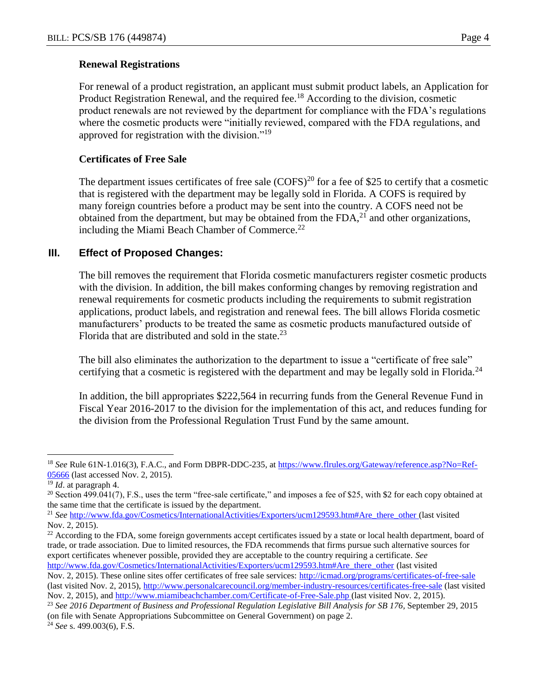For renewal of a product registration, an applicant must submit product labels, an Application for Product Registration Renewal, and the required fee.<sup>18</sup> According to the division, cosmetic product renewals are not reviewed by the department for compliance with the FDA's regulations where the cosmetic products were "initially reviewed, compared with the FDA regulations, and approved for registration with the division."<sup>19</sup>

## **Certificates of Free Sale**

The department issues certificates of free sale  $(COFS)^{20}$  for a fee of \$25 to certify that a cosmetic that is registered with the department may be legally sold in Florida. A COFS is required by many foreign countries before a product may be sent into the country. A COFS need not be obtained from the department, but may be obtained from the  $FDA<sub>1</sub><sup>21</sup>$  and other organizations, including the Miami Beach Chamber of Commerce.<sup>22</sup>

## **III. Effect of Proposed Changes:**

The bill removes the requirement that Florida cosmetic manufacturers register cosmetic products with the division. In addition, the bill makes conforming changes by removing registration and renewal requirements for cosmetic products including the requirements to submit registration applications, product labels, and registration and renewal fees. The bill allows Florida cosmetic manufacturers' products to be treated the same as cosmetic products manufactured outside of Florida that are distributed and sold in the state.<sup>23</sup>

The bill also eliminates the authorization to the department to issue a "certificate of free sale" certifying that a cosmetic is registered with the department and may be legally sold in Florida.<sup>24</sup>

In addition, the bill appropriates \$222,564 in recurring funds from the General Revenue Fund in Fiscal Year 2016-2017 to the division for the implementation of this act, and reduces funding for the division from the Professional Regulation Trust Fund by the same amount.

 $\overline{a}$ <sup>18</sup> *See* Rule 61N-1.016(3), F.A.C., and Form DBPR-DDC-235, at [https://www.flrules.org/Gateway/reference.asp?No=Ref-](https://www.flrules.org/Gateway/reference.asp?No=Ref-05666)[05666](https://www.flrules.org/Gateway/reference.asp?No=Ref-05666) (last accessed Nov. 2, 2015).

<sup>19</sup> *Id*. at paragraph 4.

<sup>&</sup>lt;sup>20</sup> Section 499.041(7), F.S., uses the term "free-sale certificate," and imposes a fee of \$25, with \$2 for each copy obtained at the same time that the certificate is issued by the department.

<sup>&</sup>lt;sup>21</sup> *See* [http://www.fda.gov/Cosmetics/InternationalActivities/Exporters/ucm129593.htm#Are\\_there\\_other](http://www.fda.gov/Cosmetics/InternationalActivities/Exporters/ucm129593.htm#Are_there_other) (last visited Nov. 2, 2015).

<sup>&</sup>lt;sup>22</sup> According to the FDA, some foreign governments accept certificates issued by a state or local health department, board of trade, or trade association. Due to limited resources, the FDA recommends that firms pursue such alternative sources for export certificates whenever possible, provided they are acceptable to the country requiring a certificate. *See* 

[http://www.fda.gov/Cosmetics/InternationalActivities/Exporters/ucm129593.htm#Are\\_there\\_other](http://www.fda.gov/Cosmetics/InternationalActivities/Exporters/ucm129593.htm#Are_there_other) (last visited Nov. 2, 2015). These online sites offer certificates of free sale services: <http://icmad.org/programs/certificates-of-free-sale> (last visited Nov. 2, 2015),<http://www.personalcarecouncil.org/member-industry-resources/certificates-free-sale> (last visited Nov. 2, 2015), and<http://www.miamibeachchamber.com/Certificate-of-Free-Sale.php> (last visited Nov. 2, 2015).

<sup>23</sup> *See 2016 Department of Business and Professional Regulation Legislative Bill Analysis for SB 176,* September 29, 2015 (on file with Senate Appropriations Subcommittee on General Government) on page 2.

<sup>24</sup> *See* s. 499.003(6), F.S.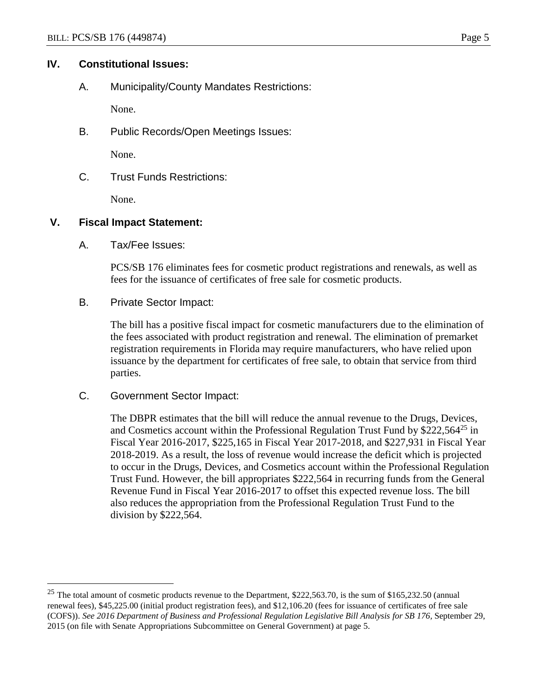## **IV. Constitutional Issues:**

A. Municipality/County Mandates Restrictions:

None.

B. Public Records/Open Meetings Issues:

None.

C. Trust Funds Restrictions:

None.

### **V. Fiscal Impact Statement:**

A. Tax/Fee Issues:

PCS/SB 176 eliminates fees for cosmetic product registrations and renewals, as well as fees for the issuance of certificates of free sale for cosmetic products.

B. Private Sector Impact:

The bill has a positive fiscal impact for cosmetic manufacturers due to the elimination of the fees associated with product registration and renewal. The elimination of premarket registration requirements in Florida may require manufacturers, who have relied upon issuance by the department for certificates of free sale, to obtain that service from third parties.

C. Government Sector Impact:

 $\overline{a}$ 

The DBPR estimates that the bill will reduce the annual revenue to the Drugs, Devices, and Cosmetics account within the Professional Regulation Trust Fund by  $$222,564^{25}$  in Fiscal Year 2016-2017, \$225,165 in Fiscal Year 2017-2018, and \$227,931 in Fiscal Year 2018-2019. As a result, the loss of revenue would increase the deficit which is projected to occur in the Drugs, Devices, and Cosmetics account within the Professional Regulation Trust Fund. However, the bill appropriates \$222,564 in recurring funds from the General Revenue Fund in Fiscal Year 2016-2017 to offset this expected revenue loss. The bill also reduces the appropriation from the Professional Regulation Trust Fund to the division by \$222,564.

 $25$  The total amount of cosmetic products revenue to the Department, \$222,563.70, is the sum of \$165,232.50 (annual renewal fees), \$45,225.00 (initial product registration fees), and \$12,106.20 (fees for issuance of certificates of free sale (COFS)). *See 2016 Department of Business and Professional Regulation Legislative Bill Analysis for SB 176,* September 29, 2015 (on file with Senate Appropriations Subcommittee on General Government) at page 5.